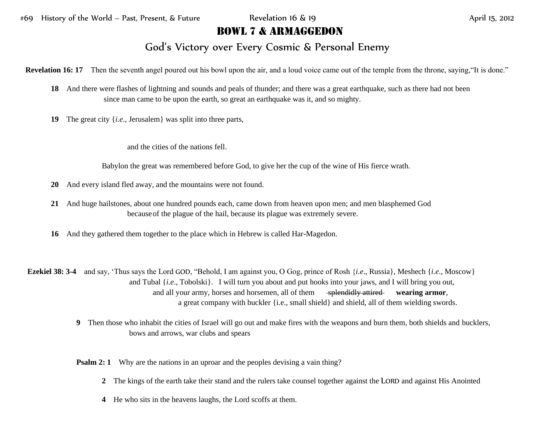## Bowl 7 & Armaggedon

## God's Victory over Every Cosmic & Personal Enemy

**Revelation 16: 17** Then the seventh angel poured out his bowl upon the air, and a loud voice came out of the temple from the throne, saying, "It is done."

- **18** And there were flashes of lightning and sounds and peals of thunder; and there was a great earthquake, such as there had not been since man came to be upon the earth, so great an earthquake was it, and so mighty.
- **19** The great city {*i.e*., Jerusalem} was split into three parts,

and the cities of the nations fell.

Babylon the great was remembered before God, to give her the cup of the wine of His fierce wrath.

- **20** And every island fled away, and the mountains were not found.
- **21** And huge hailstones, about one hundred pounds each, came down from heaven upon men; and men blasphemed God becauseof the plague of the hail, because its plague was extremely severe.
- **16** And they gathered them together to the place which in Hebrew is called Har-Magedon.

**Ezekiel 38: 3-4** and say, 'Thus says the Lord GOD, "Behold, I am against you, O Gog, prince of Rosh {*i.e*., Russia}, Meshech {*i.e*., Moscow} and Tubal {*i.e*., Tobolski}. I will turn you about and put hooks into your jaws, and I will bring you out, and all your army, horses and horsemen, all of them splendidly attired wearing armor, a great company with buckler {i.e., small shield} and shield, all of them wielding swords.

> **9** Then those who inhabit the cities of Israel will go out and make fires with the weapons and burn them, both shields and bucklers, bows and arrows, war clubs and spears

**Psalm 2: 1** Why are the nations in an uproar and the peoples devising a vain thing?

- **2** The kings of the earth take their stand and the rulers take counsel together against the LORD and against His Anointed
- **4** He who sits in the heavens laughs, the Lord scoffs at them.